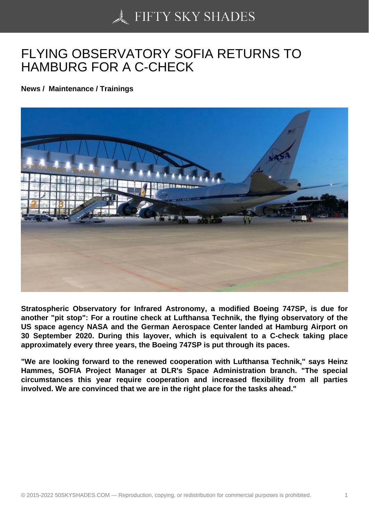## [FLYING OBSERVATO](https://50skyshades.com)RY SOFIA RETURNS TO HAMBURG FOR A C-CHECK

News / Maintenance / Trainings

Stratospheric Observatory for Infrared Astronomy, a modified Boeing 747SP, is due for another "pit stop": For a routine check at Lufthansa Technik, the flying observatory of the US space agency NASA and the German Aerospace Center landed at Hamburg Airport on 30 September 2020. During this layover, which is equivalent to a C-check taking place approximately every three years, the Boeing 747SP is put through its paces.

"We are looking forward to the renewed cooperation with Lufthansa Technik," says Heinz Hammes, SOFIA Project Manager at DLR's Space Administration branch. "The special circumstances this year require cooperation and increased flexibility from all parties involved. We are convinced that we are in the right place for the tasks ahead."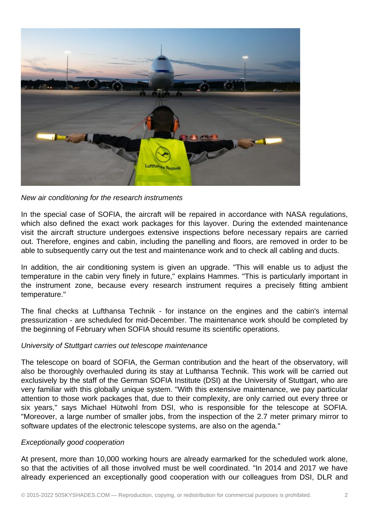

New air conditioning for the research instruments

In the special case of SOFIA, the aircraft will be repaired in accordance with NASA regulations, which also defined the exact work packages for this layover. During the extended maintenance visit the aircraft structure undergoes extensive inspections before necessary repairs are carried out. Therefore, engines and cabin, including the panelling and floors, are removed in order to be able to subsequently carry out the test and maintenance work and to check all cabling and ducts.

In addition, the air conditioning system is given an upgrade. "This will enable us to adjust the temperature in the cabin very finely in future," explains Hammes. "This is particularly important in the instrument zone, because every research instrument requires a precisely fitting ambient temperature."

The final checks at Lufthansa Technik - for instance on the engines and the cabin's internal pressurization - are scheduled for mid-December. The maintenance work should be completed by the beginning of February when SOFIA should resume its scientific operations.

## University of Stuttgart carries out telescope maintenance

The telescope on board of SOFIA, the German contribution and the heart of the observatory, will also be thoroughly overhauled during its stay at Lufthansa Technik. This work will be carried out exclusively by the staff of the German SOFIA Institute (DSI) at the University of Stuttgart, who are very familiar with this globally unique system. "With this extensive maintenance, we pay particular attention to those work packages that, due to their complexity, are only carried out every three or six years," says Michael Hütwohl from DSI, who is responsible for the telescope at SOFIA. "Moreover, a large number of smaller jobs, from the inspection of the 2.7 meter primary mirror to software updates of the electronic telescope systems, are also on the agenda."

## Exceptionally good cooperation

At present, more than 10,000 working hours are already earmarked for the scheduled work alone, so that the activities of all those involved must be well coordinated. "In 2014 and 2017 we have already experienced an exceptionally good cooperation with our colleagues from DSI, DLR and